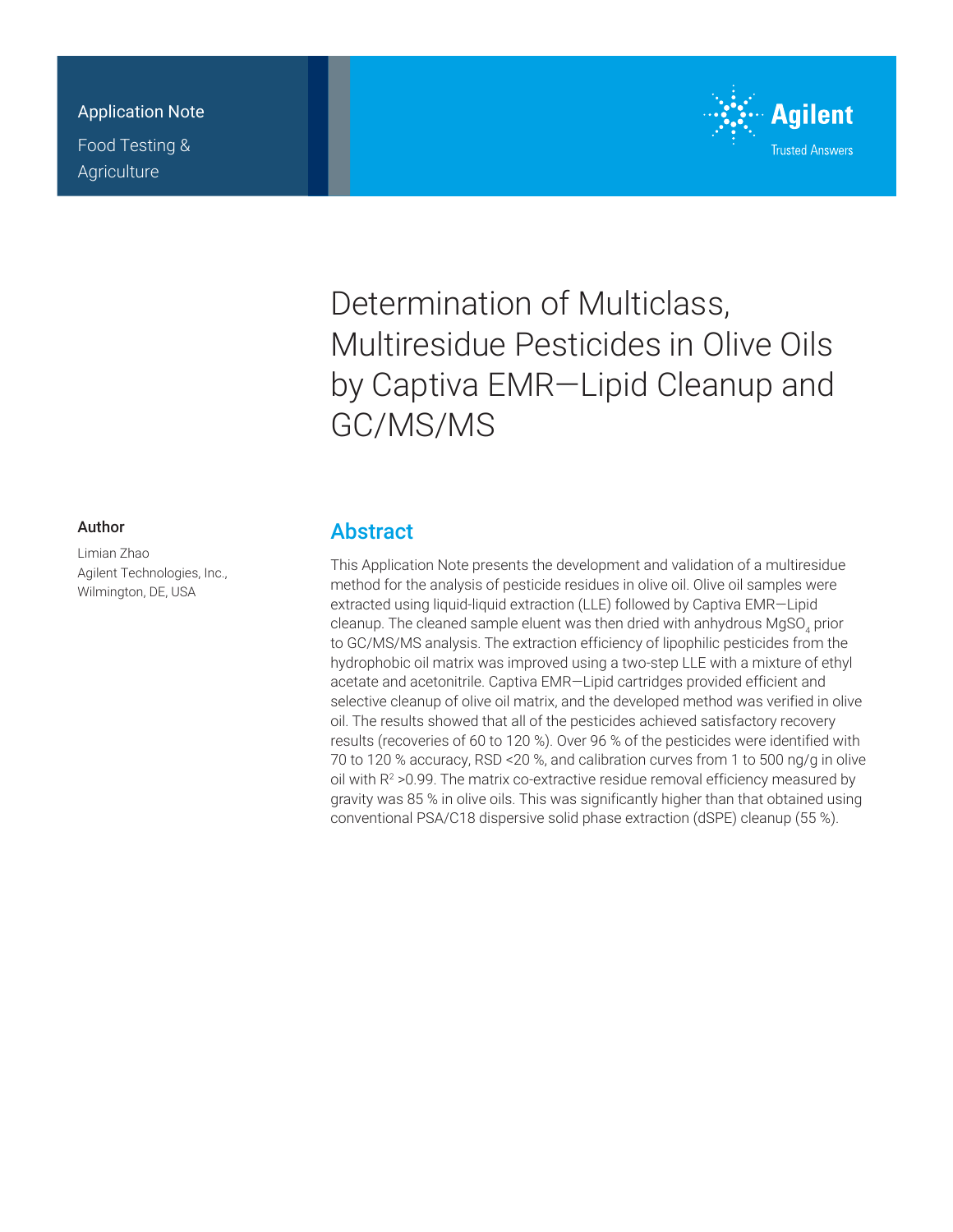### Application Note

Food Testing & **Agriculture** 



# Determination of Multiclass, Multiresidue Pesticides in Olive Oils by Captiva EMR—Lipid Cleanup and GC/MS/MS

#### Author

Limian Zhao Agilent Technologies, Inc., Wilmington, DE, USA

### **Abstract**

This Application Note presents the development and validation of a multiresidue method for the analysis of pesticide residues in olive oil. Olive oil samples were extracted using liquid-liquid extraction (LLE) followed by Captiva EMR—Lipid cleanup. The cleaned sample eluent was then dried with anhydrous MgSO<sub>4</sub> prior to GC/MS/MS analysis. The extraction efficiency of lipophilic pesticides from the hydrophobic oil matrix was improved using a two-step LLE with a mixture of ethyl acetate and acetonitrile. Captiva EMR—Lipid cartridges provided efficient and selective cleanup of olive oil matrix, and the developed method was verified in olive oil. The results showed that all of the pesticides achieved satisfactory recovery results (recoveries of 60 to 120 %). Over 96 % of the pesticides were identified with 70 to 120 % accuracy, RSD <20 %, and calibration curves from 1 to 500 ng/g in olive oil with R<sup>2</sup> >0.99. The matrix co-extractive residue removal efficiency measured by gravity was 85 % in olive oils. This was significantly higher than that obtained using conventional PSA/C18 dispersive solid phase extraction (dSPE) cleanup (55 %).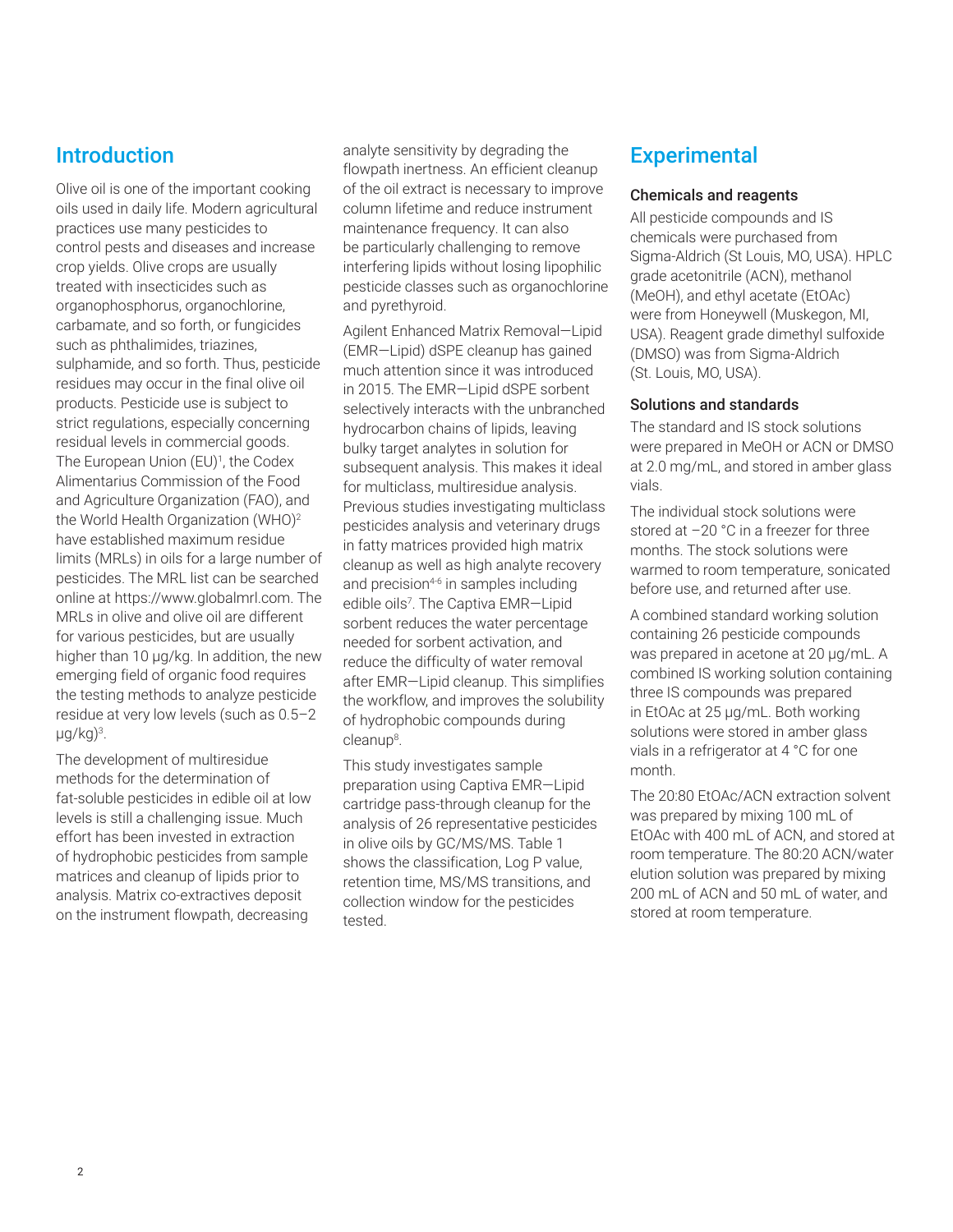### Introduction

Olive oil is one of the important cooking oils used in daily life. Modern agricultural practices use many pesticides to control pests and diseases and increase crop yields. Olive crops are usually treated with insecticides such as organophosphorus, organochlorine, carbamate, and so forth, or fungicides such as phthalimides, triazines, sulphamide, and so forth. Thus, pesticide residues may occur in the final olive oil products. Pesticide use is subject to strict regulations, especially concerning residual levels in commercial goods. The European Union (EU)<sup>1</sup>, the Codex Alimentarius Commission of the Food and Agriculture Organization (FAO), and the World Health Organization (WHO)<sup>2</sup> have established maximum residue limits (MRLs) in oils for a large number of pesticides. The MRL list can be searched online at [https://www.globalmrl.com.](https://www.globalmrl.com) The MRLs in olive and olive oil are different for various pesticides, but are usually higher than 10 µg/kg. In addition, the new emerging field of organic food requires the testing methods to analyze pesticide residue at very low levels (such as 0.5–2 µg/kg)<sup>3</sup> .

The development of multiresidue methods for the determination of fat-soluble pesticides in edible oil at low levels is still a challenging issue. Much effort has been invested in extraction of hydrophobic pesticides from sample matrices and cleanup of lipids prior to analysis. Matrix co-extractives deposit on the instrument flowpath, decreasing

analyte sensitivity by degrading the flowpath inertness. An efficient cleanup of the oil extract is necessary to improve column lifetime and reduce instrument maintenance frequency. It can also be particularly challenging to remove interfering lipids without losing lipophilic pesticide classes such as organochlorine and pyrethyroid.

Agilent Enhanced Matrix Removal—Lipid (EMR—Lipid) dSPE cleanup has gained much attention since it was introduced in 2015. The EMR—Lipid dSPE sorbent selectively interacts with the unbranched hydrocarbon chains of lipids, leaving bulky target analytes in solution for subsequent analysis. This makes it ideal for multiclass, multiresidue analysis. Previous studies investigating multiclass pesticides analysis and veterinary drugs in fatty matrices provided high matrix cleanup as well as high analyte recovery and precision $4-6$  in samples including edible oils<sup>7</sup>. The Captiva EMR-Lipid sorbent reduces the water percentage needed for sorbent activation, and reduce the difficulty of water removal after EMR—Lipid cleanup. This simplifies the workflow, and improves the solubility of hydrophobic compounds during cleanup<sup>8</sup> .

This study investigates sample preparation using Captiva EMR—Lipid cartridge pass-through cleanup for the analysis of 26 representative pesticides in olive oils by GC/MS/MS. Table 1 shows the classification, Log P value, retention time, MS/MS transitions, and collection window for the pesticides tested.

## **Experimental**

#### Chemicals and reagents

All pesticide compounds and IS chemicals were purchased from Sigma‑Aldrich (St Louis, MO, USA). HPLC grade acetonitrile (ACN), methanol (MeOH), and ethyl acetate (EtOAc) were from Honeywell (Muskegon, MI, USA). Reagent grade dimethyl sulfoxide (DMSO) was from Sigma-Aldrich (St. Louis, MO, USA).

#### Solutions and standards

The standard and IS stock solutions were prepared in MeOH or ACN or DMSO at 2.0 mg/mL, and stored in amber glass vials.

The individual stock solutions were stored at –20 °C in a freezer for three months. The stock solutions were warmed to room temperature, sonicated before use, and returned after use.

A combined standard working solution containing 26 pesticide compounds was prepared in acetone at 20 µg/mL. A combined IS working solution containing three IS compounds was prepared in EtOAc at 25 µg/mL. Both working solutions were stored in amber glass vials in a refrigerator at 4 °C for one month.

The 20:80 EtOAc/ACN extraction solvent was prepared by mixing 100 mL of EtOAc with 400 mL of ACN, and stored at room temperature. The 80:20 ACN/water elution solution was prepared by mixing 200 mL of ACN and 50 mL of water, and stored at room temperature.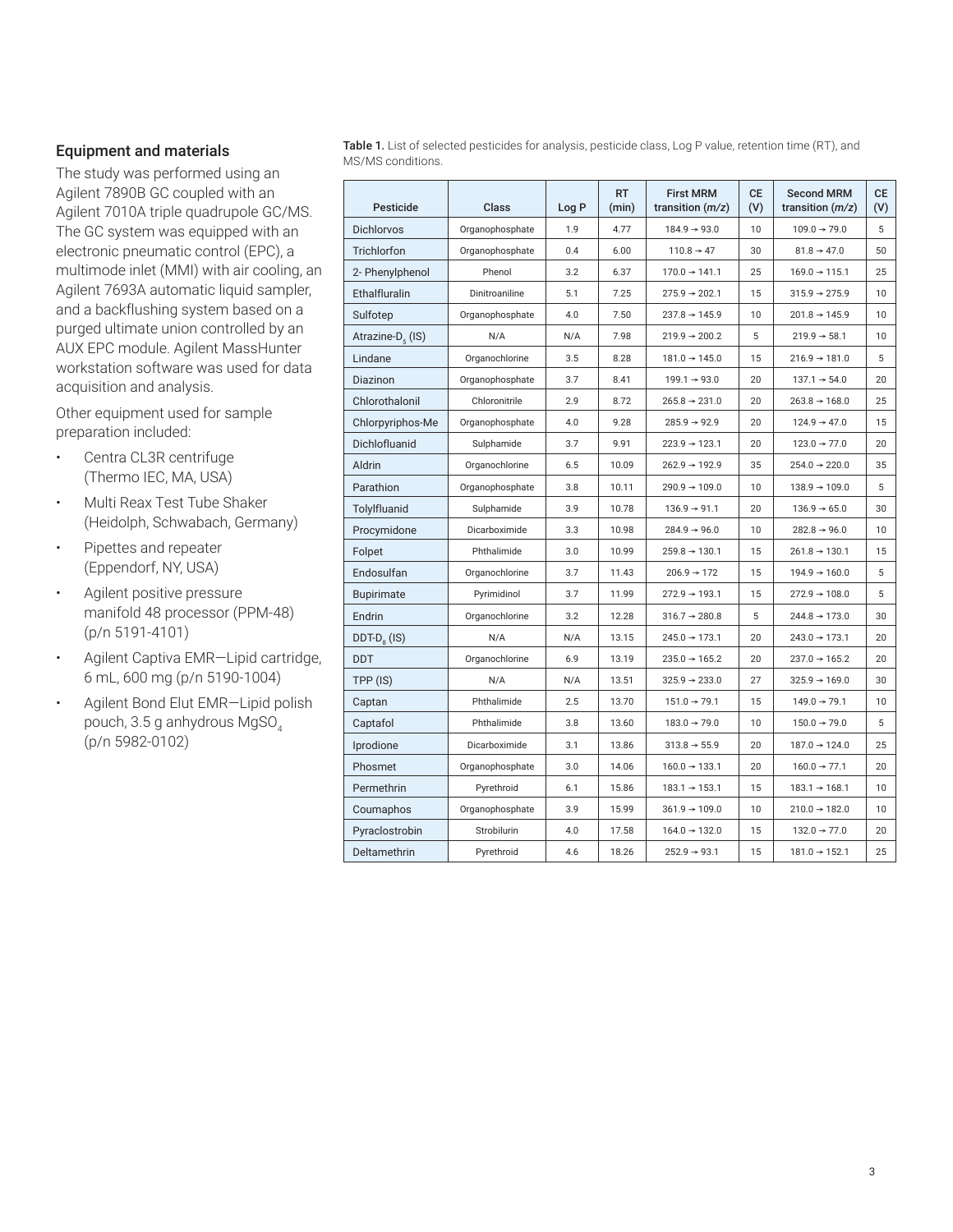#### Equipment and materials

The study was performed using an Agilent 7890B GC coupled with an Agilent 7010A triple quadrupole GC/MS. The GC system was equipped with an electronic pneumatic control (EPC), a multimode inlet (MMI) with air cooling, an Agilent 7693A automatic liquid sampler, and a backflushing system based on a purged ultimate union controlled by an AUX EPC module. Agilent MassHunter workstation software was used for data acquisition and analysis.

Other equipment used for sample preparation included:

- Centra CL3R centrifuge (Thermo IEC, MA, USA)
- Multi Reax Test Tube Shaker (Heidolph, Schwabach, Germany)
- Pipettes and repeater (Eppendorf, NY, USA)
- Agilent positive pressure manifold 48 processor (PPM-48) (p/n 5191‑4101)
- Agilent Captiva EMR—Lipid cartridge, 6 mL, 600 mg (p/n 5190-1004)
- Agilent Bond Elut EMR—Lipid polish pouch, 3.5 g anhydrous MgSO<sub>4</sub> (p/n 5982-0102)

Table 1. List of selected pesticides for analysis, pesticide class, Log P value, retention time (RT), and MS/MS conditions.

| Pesticide                    | Class           | Log P | <b>RT</b><br>(min) | <b>First MRM</b><br>transition $(m/z)$ | <b>CE</b><br>(V) | <b>Second MRM</b><br>transition $(m/z)$ | <b>CE</b><br>(V) |
|------------------------------|-----------------|-------|--------------------|----------------------------------------|------------------|-----------------------------------------|------------------|
| Dichlorvos                   | Organophosphate | 1.9   | 4.77               | $184.9 \rightarrow 93.0$               | 10               | $109.0 \rightarrow 79.0$                | 5                |
| Trichlorfon                  | Organophosphate | 0.4   | 6.00               | $110.8 \rightarrow 47$                 | 30               | $81.8 \rightarrow 47.0$                 | 50               |
| 2- Phenylphenol              | Phenol          | 3.2   | 6.37               | $170.0 \rightarrow 141.1$              | 25               | $169.0 \rightarrow 115.1$               | 25               |
| Ethalfluralin                | Dinitroaniline  | 5.1   | 7.25               | $275.9 \rightarrow 202.1$              | 15               | $315.9 \rightarrow 275.9$               | 10               |
| Sulfotep                     | Organophosphate | 4.0   | 7.50               | $237.8 \rightarrow 145.9$              | 10               | $201.8 \rightarrow 145.9$               | 10               |
| Atrazine-D <sub>c</sub> (IS) | N/A             | N/A   | 7.98               | $219.9 \rightarrow 200.2$              | 5                | $219.9 \rightarrow 58.1$                | 10               |
| Lindane                      | Organochlorine  | 3.5   | 8.28               | $181.0 \rightarrow 145.0$              | 15               | $216.9 \rightarrow 181.0$               | 5                |
| Diazinon                     | Organophosphate | 3.7   | 8.41               | $199.1 \rightarrow 93.0$               | 20               | $137.1 \rightarrow 54.0$                | 20               |
| Chlorothalonil               | Chloronitrile   | 2.9   | 8.72               | $265.8 \rightarrow 231.0$              | 20               | $263.8 \rightarrow 168.0$               | 25               |
| Chlorpyriphos-Me             | Organophosphate | 4.0   | 9.28               | $285.9 \rightarrow 92.9$               | 20               | $124.9 \rightarrow 47.0$                | 15               |
| Dichlofluanid                | Sulphamide      | 3.7   | 9.91               | $223.9 \rightarrow 123.1$              | 20               | $123.0 \rightarrow 77.0$                | 20               |
| Aldrin                       | Organochlorine  | 6.5   | 10.09              | $262.9 \rightarrow 192.9$              | 35               | $254.0 \rightarrow 220.0$               | 35               |
| Parathion                    | Organophosphate | 3.8   | 10.11              | $290.9 \rightarrow 109.0$              | 10               | $138.9 \rightarrow 109.0$               | 5                |
| Tolylfluanid                 | Sulphamide      | 3.9   | 10.78              | $136.9 \rightarrow 91.1$               | 20               | $136.9 \rightarrow 65.0$                | 30               |
| Procymidone                  | Dicarboximide   | 3.3   | 10.98              | $284.9 \rightarrow 96.0$               | 10               | $282.8 \rightarrow 96.0$                | 10               |
| Folpet                       | Phthalimide     | 3.0   | 10.99              | $259.8 \rightarrow 130.1$              | 15               | $261.8 \rightarrow 130.1$               | 15               |
| Endosulfan                   | Organochlorine  | 3.7   | 11.43              | $206.9 \rightarrow 172$                | 15               | $194.9 \rightarrow 160.0$               | 5                |
| <b>Bupirimate</b>            | Pyrimidinol     | 3.7   | 11.99              | $272.9 \rightarrow 193.1$              | 15               | $272.9 \rightarrow 108.0$               | 5                |
| Endrin                       | Organochlorine  | 3.2   | 12.28              | $316.7 \rightarrow 280.8$              | 5                | $244.8 \rightarrow 173.0$               | 30               |
| $DDT-D8$ (IS)                | N/A             | N/A   | 13.15              | $245.0 \rightarrow 173.1$              | 20               | $243.0 \rightarrow 173.1$               | 20               |
| <b>DDT</b>                   | Organochlorine  | 6.9   | 13.19              | $235.0 \rightarrow 165.2$              | 20               | $237.0 \rightarrow 165.2$               | 20               |
| TPP (IS)                     | N/A             | N/A   | 13.51              | $325.9 \rightarrow 233.0$              | 27               | $325.9 \rightarrow 169.0$               | 30               |
| Captan                       | Phthalimide     | 2.5   | 13.70              | $151.0 \rightarrow 79.1$               | 15               | $149.0 \rightarrow 79.1$                | 10               |
| Captafol                     | Phthalimide     | 3.8   | 13.60              | $183.0 \rightarrow 79.0$               | 10               | $150.0 \rightarrow 79.0$                | 5                |
| Iprodione                    | Dicarboximide   | 3.1   | 13.86              | $313.8 \rightarrow 55.9$               | 20               | $187.0 \rightarrow 124.0$               | 25               |
| Phosmet                      | Organophosphate | 3.0   | 14.06              | $160.0 \rightarrow 133.1$              | 20               | $160.0 \rightarrow 77.1$                | 20               |
| Permethrin                   | Pyrethroid      | 6.1   | 15.86              | $183.1 \rightarrow 153.1$              | 15               | $183.1 \rightarrow 168.1$               | 10               |
| Coumaphos                    | Organophosphate | 3.9   | 15.99              | $361.9 \rightarrow 109.0$              | 10               | $210.0 \rightarrow 182.0$               | 10               |
| Pyraclostrobin               | Strobilurin     | 4.0   | 17.58              | $164.0 \rightarrow 132.0$              | 15               | $132.0 \rightarrow 77.0$                | 20               |
| Deltamethrin                 | Pyrethroid      | 4.6   | 18.26              | $252.9 \rightarrow 93.1$               | 15               | $181.0 \rightarrow 152.1$               | 25               |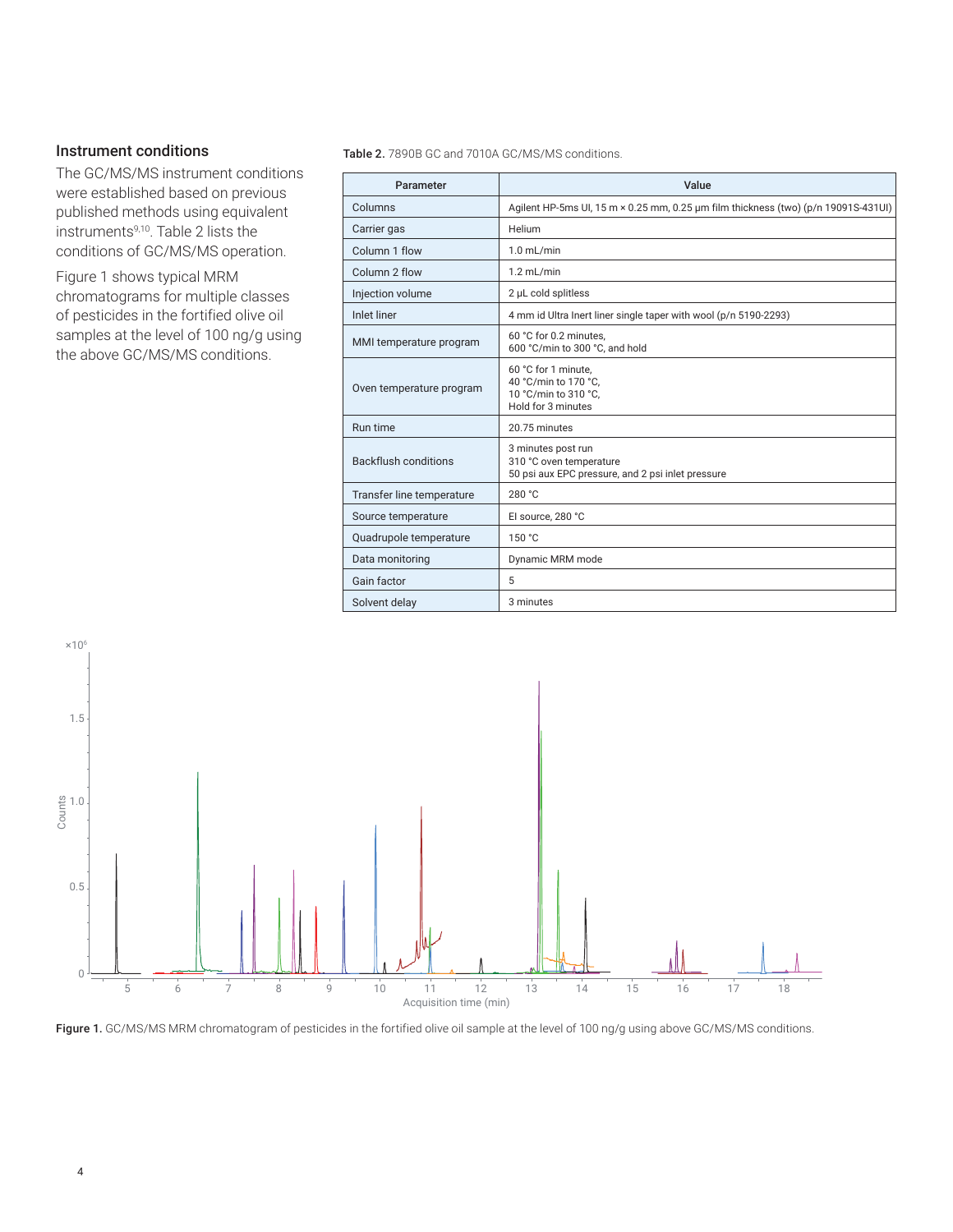#### Instrument conditions

The GC/MS/MS instrument conditions were established based on previous published methods using equivalent instruments9,10. Table 2 lists the conditions of GC/MS/MS operation.

Figure 1 shows typical MRM chromatograms for multiple classes of pesticides in the fortified olive oil samples at the level of 100 ng/g using the above GC/MS/MS conditions.

Table 2. 7890B GC and 7010A GC/MS/MS conditions.

| Parameter                   | Value                                                                                              |  |  |  |  |  |
|-----------------------------|----------------------------------------------------------------------------------------------------|--|--|--|--|--|
| Columns                     | Agilent HP-5ms UI, 15 m × 0.25 mm, 0.25 µm film thickness (two) (p/n 19091S-431UI)                 |  |  |  |  |  |
| Carrier gas                 | Helium                                                                                             |  |  |  |  |  |
| Column 1 flow               | $1.0$ mL/min                                                                                       |  |  |  |  |  |
| Column 2 flow               | $1.2$ mL/min                                                                                       |  |  |  |  |  |
| Injection volume            | 2 µL cold splitless                                                                                |  |  |  |  |  |
| <b>Inlet liner</b>          | 4 mm id Ultra Inert liner single taper with wool (p/n 5190-2293)                                   |  |  |  |  |  |
| MMI temperature program     | 60 °C for 0.2 minutes,<br>600 °C/min to 300 °C, and hold                                           |  |  |  |  |  |
| Oven temperature program    | 60 °C for 1 minute.<br>40 °C/min to 170 °C.<br>10 °C/min to 310 °C.<br>Hold for 3 minutes          |  |  |  |  |  |
| Run time                    | 20.75 minutes                                                                                      |  |  |  |  |  |
| <b>Backflush conditions</b> | 3 minutes post run<br>310 °C oven temperature<br>50 psi aux EPC pressure, and 2 psi inlet pressure |  |  |  |  |  |
| Transfer line temperature   | 280 °C                                                                                             |  |  |  |  |  |
| Source temperature          | El source, 280 °C                                                                                  |  |  |  |  |  |
| Quadrupole temperature      | 150 °C                                                                                             |  |  |  |  |  |
| Data monitoring             | Dynamic MRM mode                                                                                   |  |  |  |  |  |
| Gain factor                 | 5                                                                                                  |  |  |  |  |  |
| Solvent delay               | 3 minutes                                                                                          |  |  |  |  |  |



Figure 1. GC/MS/MS MRM chromatogram of pesticides in the fortified olive oil sample at the level of 100 ng/g using above GC/MS/MS conditions.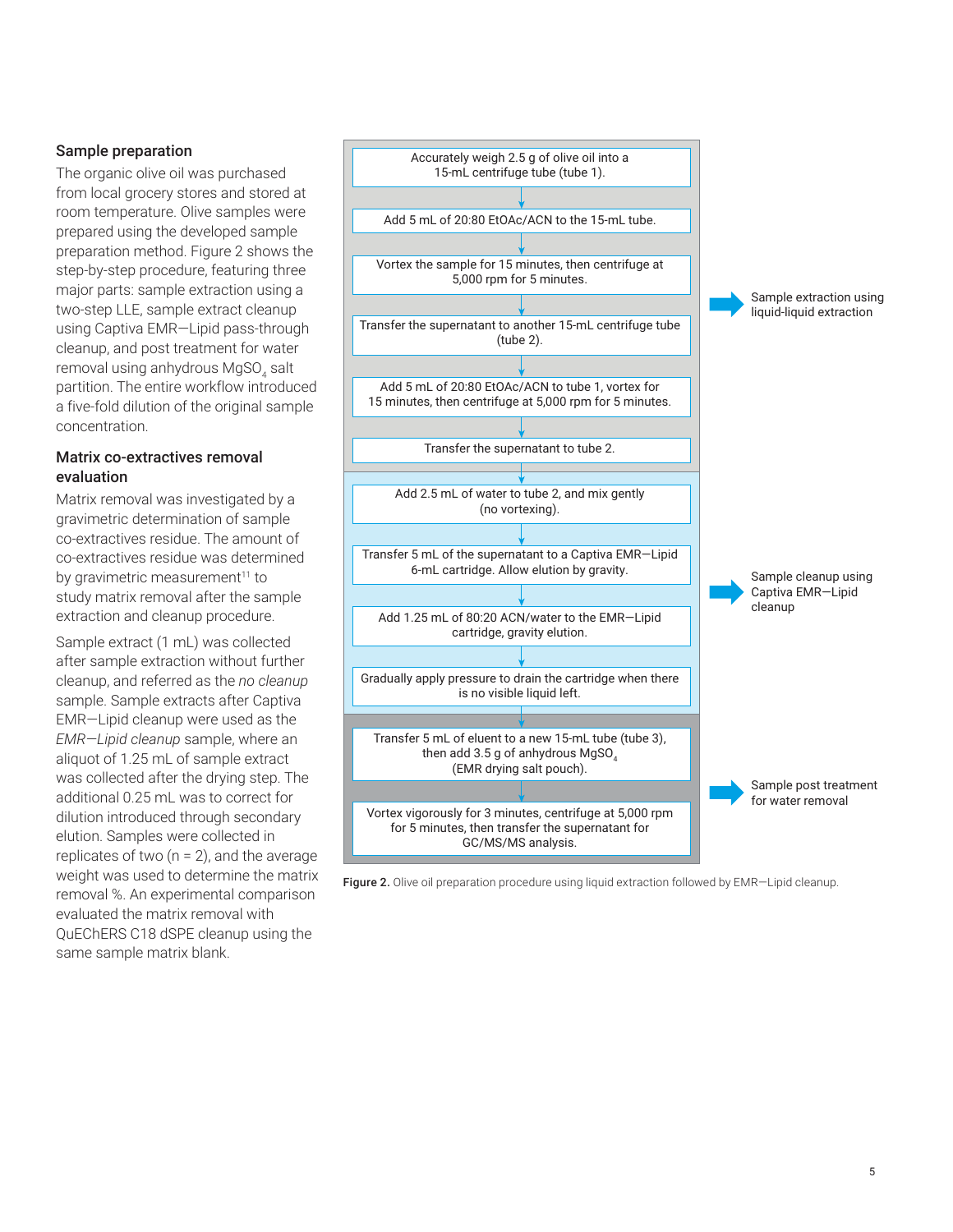#### Sample preparation

The organic olive oil was purchased from local grocery stores and stored at room temperature. Olive samples were prepared using the developed sample preparation method. Figure 2 shows the step-by-step procedure, featuring three major parts: sample extraction using a two-step LLE, sample extract cleanup using Captiva EMR—Lipid pass-through cleanup, and post treatment for water removal using anhydrous MgSO<sub>4</sub> salt partition. The entire workflow introduced a five-fold dilution of the original sample concentration.

#### Matrix co-extractives removal evaluation

Matrix removal was investigated by a gravimetric determination of sample co-extractives residue. The amount of co-extractives residue was determined by gravimetric measurement<sup>11</sup> to study matrix removal after the sample extraction and cleanup procedure.

Sample extract (1 mL) was collected after sample extraction without further cleanup, and referred as the *no cleanup* sample. Sample extracts after Captiva EMR—Lipid cleanup were used as the *EMR—Lipid cleanup* sample, where an aliquot of 1.25 mL of sample extract was collected after the drying step. The additional 0.25 mL was to correct for dilution introduced through secondary elution. Samples were collected in replicates of two ( $n = 2$ ), and the average weight was used to determine the matrix removal %. An experimental comparison evaluated the matrix removal with QuEChERS C18 dSPE cleanup using the same sample matrix blank.



Figure 2. Olive oil preparation procedure using liquid extraction followed by EMR-Lipid cleanup.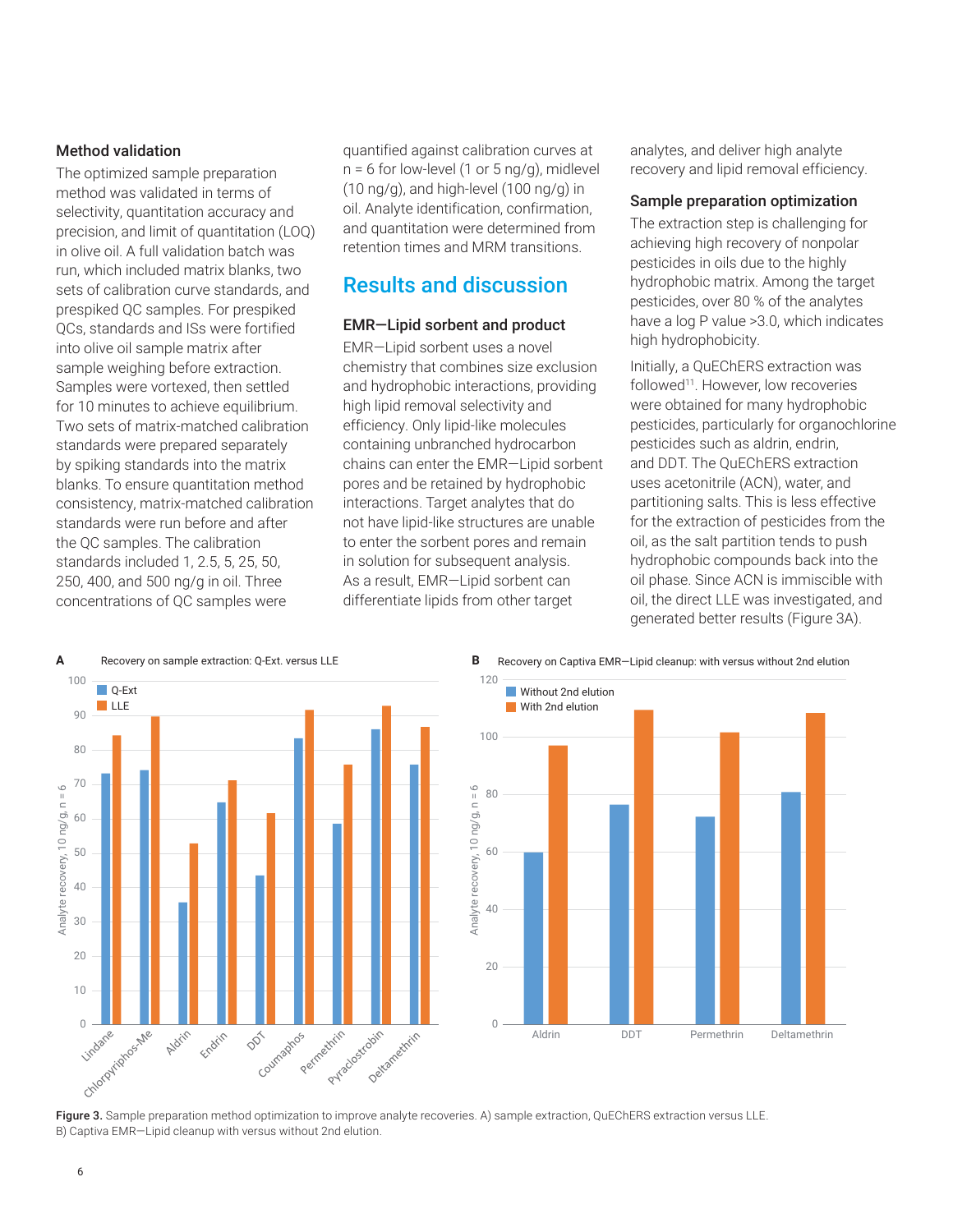#### Method validation

The optimized sample preparation method was validated in terms of selectivity, quantitation accuracy and precision, and limit of quantitation (LOQ) in olive oil. A full validation batch was run, which included matrix blanks, two sets of calibration curve standards, and prespiked QC samples. For prespiked QCs, standards and ISs were fortified into olive oil sample matrix after sample weighing before extraction. Samples were vortexed, then settled for 10 minutes to achieve equilibrium. Two sets of matrix-matched calibration standards were prepared separately by spiking standards into the matrix blanks. To ensure quantitation method consistency, matrix-matched calibration standards were run before and after the QC samples. The calibration standards included 1, 2.5, 5, 25, 50, 250, 400, and 500 ng/g in oil. Three concentrations of QC samples were

quantified against calibration curves at  $n = 6$  for low-level (1 or 5 ng/g), midlevel (10 ng/g), and high-level (100 ng/g) in oil. Analyte identification, confirmation, and quantitation were determined from retention times and MRM transitions.

### Results and discussion

#### EMR—Lipid sorbent and product

EMR—Lipid sorbent uses a novel chemistry that combines size exclusion and hydrophobic interactions, providing high lipid removal selectivity and efficiency. Only lipid-like molecules containing unbranched hydrocarbon chains can enter the EMR—Lipid sorbent pores and be retained by hydrophobic interactions. Target analytes that do not have lipid-like structures are unable to enter the sorbent pores and remain in solution for subsequent analysis. As a result, EMR—Lipid sorbent can differentiate lipids from other target

analytes, and deliver high analyte recovery and lipid removal efficiency.

#### Sample preparation optimization

The extraction step is challenging for achieving high recovery of nonpolar pesticides in oils due to the highly hydrophobic matrix. Among the target pesticides, over 80 % of the analytes have a log P value >3.0, which indicates high hydrophobicity.

Initially, a QuEChERS extraction was followed<sup>11</sup>. However, low recoveries were obtained for many hydrophobic pesticides, particularly for organochlorine pesticides such as aldrin, endrin, and DDT. The QuEChERS extraction uses acetonitrile (ACN), water, and partitioning salts. This is less effective for the extraction of pesticides from the oil, as the salt partition tends to push hydrophobic compounds back into the oil phase. Since ACN is immiscible with oil, the direct LLE was investigated, and generated better results (Figure 3A).





Figure 3. Sample preparation method optimization to improve analyte recoveries. A) sample extraction, QuEChERS extraction versus LLE. B) Captiva EMR—Lipid cleanup with versus without 2nd elution.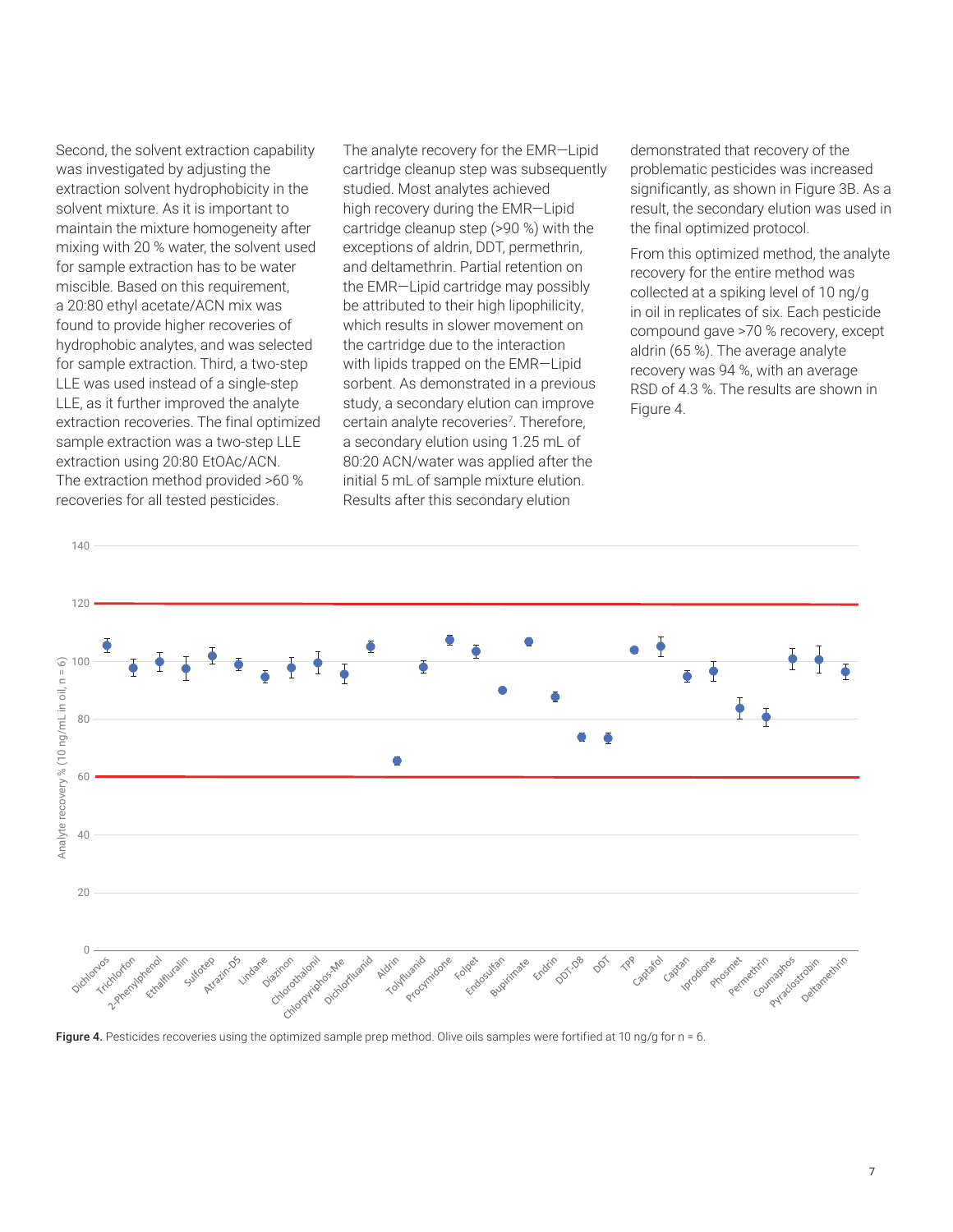Second, the solvent extraction capability was investigated by adjusting the extraction solvent hydrophobicity in the solvent mixture. As it is important to maintain the mixture homogeneity after mixing with 20 % water, the solvent used for sample extraction has to be water miscible. Based on this requirement, a 20:80 ethyl acetate/ACN mix was found to provide higher recoveries of hydrophobic analytes, and was selected for sample extraction. Third, a two-step LLE was used instead of a single-step LLE, as it further improved the analyte extraction recoveries. The final optimized sample extraction was a two-step LLE extraction using 20:80 EtOAc/ACN. The extraction method provided >60 % recoveries for all tested pesticides.

The analyte recovery for the EMR—Lipid cartridge cleanup step was subsequently studied. Most analytes achieved high recovery during the EMR—Lipid cartridge cleanup step (>90 %) with the exceptions of aldrin, DDT, permethrin, and deltamethrin. Partial retention on the EMR—Lipid cartridge may possibly be attributed to their high lipophilicity, which results in slower movement on the cartridge due to the interaction with lipids trapped on the EMR—Lipid sorbent. As demonstrated in a previous study, a secondary elution can improve certain analyte recoveries<sup>7</sup>. Therefore, a secondary elution using 1.25 mL of 80:20 ACN/water was applied after the initial 5 mL of sample mixture elution. Results after this secondary elution

demonstrated that recovery of the problematic pesticides was increased significantly, as shown in Figure 3B. As a result, the secondary elution was used in the final optimized protocol.

From this optimized method, the analyte recovery for the entire method was collected at a spiking level of 10 ng/g in oil in replicates of six. Each pesticide compound gave >70 % recovery, except aldrin (65 %). The average analyte recovery was 94 %, with an average RSD of 4.3 %. The results are shown in Figure 4.



Figure 4. Pesticides recoveries using the optimized sample prep method. Olive oils samples were fortified at 10 ng/g for n = 6.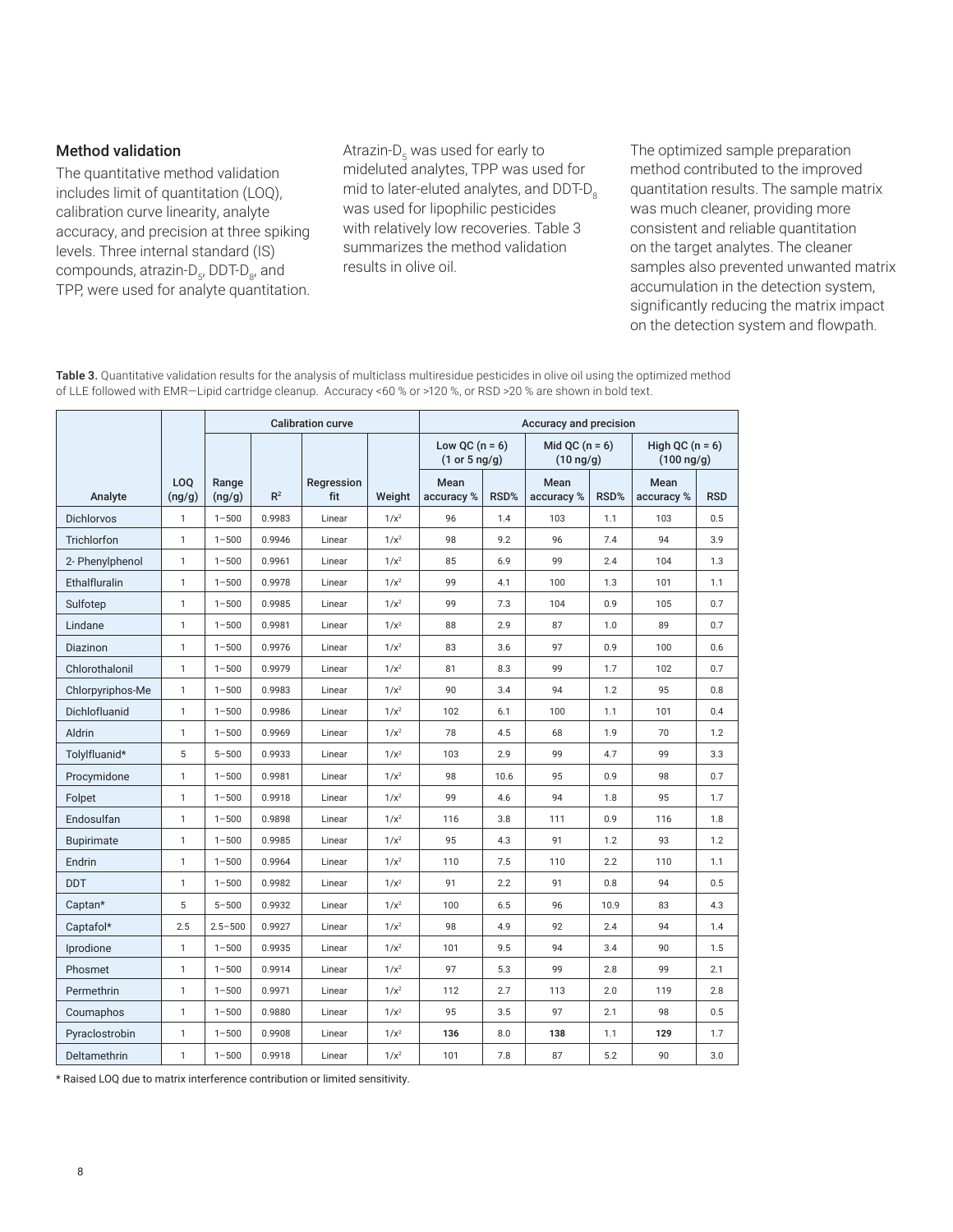#### Method validation

The quantitative method validation includes limit of quantitation (LOQ), calibration curve linearity, analyte accuracy, and precision at three spiking levels. Three internal standard (IS) compounds, atrazin-D<sub>5</sub>, DDT-D<sub>8</sub>, and TPP, were used for analyte quantitation.

Atrazin-D<sub>5</sub> was used for early to mideluted analytes, TPP was used for mid to later-eluted analytes, and DDT-D<sub>o</sub> was used for lipophilic pesticides with relatively low recoveries. Table 3 summarizes the method validation results in olive oil.

The optimized sample preparation method contributed to the improved quantitation results. The sample matrix was much cleaner, providing more consistent and reliable quantitation on the target analytes. The cleaner samples also prevented unwanted matrix accumulation in the detection system, significantly reducing the matrix impact on the detection system and flowpath.

Table 3. Quantitative validation results for the analysis of multiclass multiresidue pesticides in olive oil using the optimized method of LLE followed with EMR—Lipid cartridge cleanup. Accuracy <60 % or >120 %, or RSD >20 % are shown in bold text.

|                   |               | <b>Calibration curve</b> |                |                   | Accuracy and precision |                                   |      |                                     |      |                                     |            |
|-------------------|---------------|--------------------------|----------------|-------------------|------------------------|-----------------------------------|------|-------------------------------------|------|-------------------------------------|------------|
|                   |               |                          |                |                   |                        | Low QC $(n = 6)$<br>(1 or 5 ng/g) |      | Mid QC $(n = 6)$<br>$(10 \nvert g)$ |      | High QC $(n = 6)$<br>$(100 \ ng/g)$ |            |
| Analyte           | LOQ<br>(ng/g) | Range<br>(ng/g)          | R <sup>2</sup> | Regression<br>fit | Weight                 | Mean<br>accuracy %                | RSD% | Mean<br>accuracy %                  | RSD% | Mean<br>accuracy %                  | <b>RSD</b> |
| <b>Dichlorvos</b> | $\mathbf{1}$  | $1 - 500$                | 0.9983         | Linear            | $1/x^2$                | 96                                | 1.4  | 103                                 | 1.1  | 103                                 | 0.5        |
| Trichlorfon       | $\mathbf{1}$  | $1 - 500$                | 0.9946         | Linear            | $1/x^2$                | 98                                | 9.2  | 96                                  | 7.4  | 94                                  | 3.9        |
| 2- Phenylphenol   | $\mathbf{1}$  | $1 - 500$                | 0.9961         | Linear            | $1/x^2$                | 85                                | 6.9  | 99                                  | 2.4  | 104                                 | 1.3        |
| Ethalfluralin     | $\mathbf{1}$  | $1 - 500$                | 0.9978         | Linear            | $1/x^2$                | 99                                | 4.1  | 100                                 | 1.3  | 101                                 | 1.1        |
| Sulfotep          | $\mathbf{1}$  | $1 - 500$                | 0.9985         | Linear            | $1/x^2$                | 99                                | 7.3  | 104                                 | 0.9  | 105                                 | 0.7        |
| Lindane           | $\mathbf{1}$  | $1 - 500$                | 0.9981         | Linear            | $1/x^2$                | 88                                | 2.9  | 87                                  | 1.0  | 89                                  | 0.7        |
| Diazinon          | $\mathbf{1}$  | $1 - 500$                | 0.9976         | Linear            | $1/x^2$                | 83                                | 3.6  | 97                                  | 0.9  | 100                                 | 0.6        |
| Chlorothalonil    | $\mathbf{1}$  | $1 - 500$                | 0.9979         | Linear            | $1/x^2$                | 81                                | 8.3  | 99                                  | 1.7  | 102                                 | 0.7        |
| Chlorpyriphos-Me  | $\mathbf{1}$  | $1 - 500$                | 0.9983         | Linear            | $1/x^2$                | 90                                | 3.4  | 94                                  | 1.2  | 95                                  | 0.8        |
| Dichlofluanid     | $\mathbf{1}$  | $1 - 500$                | 0.9986         | Linear            | $1/x^2$                | 102                               | 6.1  | 100                                 | 1.1  | 101                                 | 0.4        |
| Aldrin            | $\mathbf{1}$  | $1 - 500$                | 0.9969         | Linear            | $1/x^2$                | 78                                | 4.5  | 68                                  | 1.9  | 70                                  | 1.2        |
| Tolylfluanid*     | 5             | $5 - 500$                | 0.9933         | Linear            | $1/x^2$                | 103                               | 2.9  | 99                                  | 4.7  | 99                                  | 3.3        |
| Procymidone       | 1             | $1 - 500$                | 0.9981         | Linear            | $1/x^2$                | 98                                | 10.6 | 95                                  | 0.9  | 98                                  | 0.7        |
| Folpet            | $\mathbf{1}$  | $1 - 500$                | 0.9918         | Linear            | $1/x^2$                | 99                                | 4.6  | 94                                  | 1.8  | 95                                  | 1.7        |
| Endosulfan        | $\mathbf{1}$  | $1 - 500$                | 0.9898         | Linear            | $1/x^2$                | 116                               | 3.8  | 111                                 | 0.9  | 116                                 | 1.8        |
| <b>Bupirimate</b> | $\mathbf{1}$  | $1 - 500$                | 0.9985         | Linear            | $1/x^2$                | 95                                | 4.3  | 91                                  | 1.2  | 93                                  | 1.2        |
| Endrin            | 1             | $1 - 500$                | 0.9964         | Linear            | $1/x^2$                | 110                               | 7.5  | 110                                 | 2.2  | 110                                 | 1.1        |
| <b>DDT</b>        | 1             | $1 - 500$                | 0.9982         | Linear            | $1/x^2$                | 91                                | 2.2  | 91                                  | 0.8  | 94                                  | 0.5        |
| Captan*           | 5             | $5 - 500$                | 0.9932         | Linear            | $1/x^2$                | 100                               | 6.5  | 96                                  | 10.9 | 83                                  | 4.3        |
| Captafol*         | 2.5           | $2.5 - 500$              | 0.9927         | Linear            | $1/x^2$                | 98                                | 4.9  | 92                                  | 2.4  | 94                                  | 1.4        |
| Iprodione         | $\mathbf{1}$  | $1 - 500$                | 0.9935         | Linear            | $1/x^2$                | 101                               | 9.5  | 94                                  | 3.4  | 90                                  | 1.5        |
| Phosmet           | $\mathbf{1}$  | $1 - 500$                | 0.9914         | Linear            | $1/x^2$                | 97                                | 5.3  | 99                                  | 2.8  | 99                                  | 2.1        |
| Permethrin        | $\mathbf{1}$  | $1 - 500$                | 0.9971         | Linear            | $1/x^2$                | 112                               | 2.7  | 113                                 | 2.0  | 119                                 | 2.8        |
| Coumaphos         | 1             | $1 - 500$                | 0.9880         | Linear            | $1/x^2$                | 95                                | 3.5  | 97                                  | 2.1  | 98                                  | 0.5        |
| Pyraclostrobin    | $\mathbf{1}$  | $1 - 500$                | 0.9908         | Linear            | $1/x^2$                | 136                               | 8.0  | 138                                 | 1.1  | 129                                 | 1.7        |
| Deltamethrin      | 1             | $1 - 500$                | 0.9918         | Linear            | $1/x^2$                | 101                               | 7.8  | 87                                  | 5.2  | 90                                  | 3.0        |

\* Raised LOQ due to matrix interference contribution or limited sensitivity.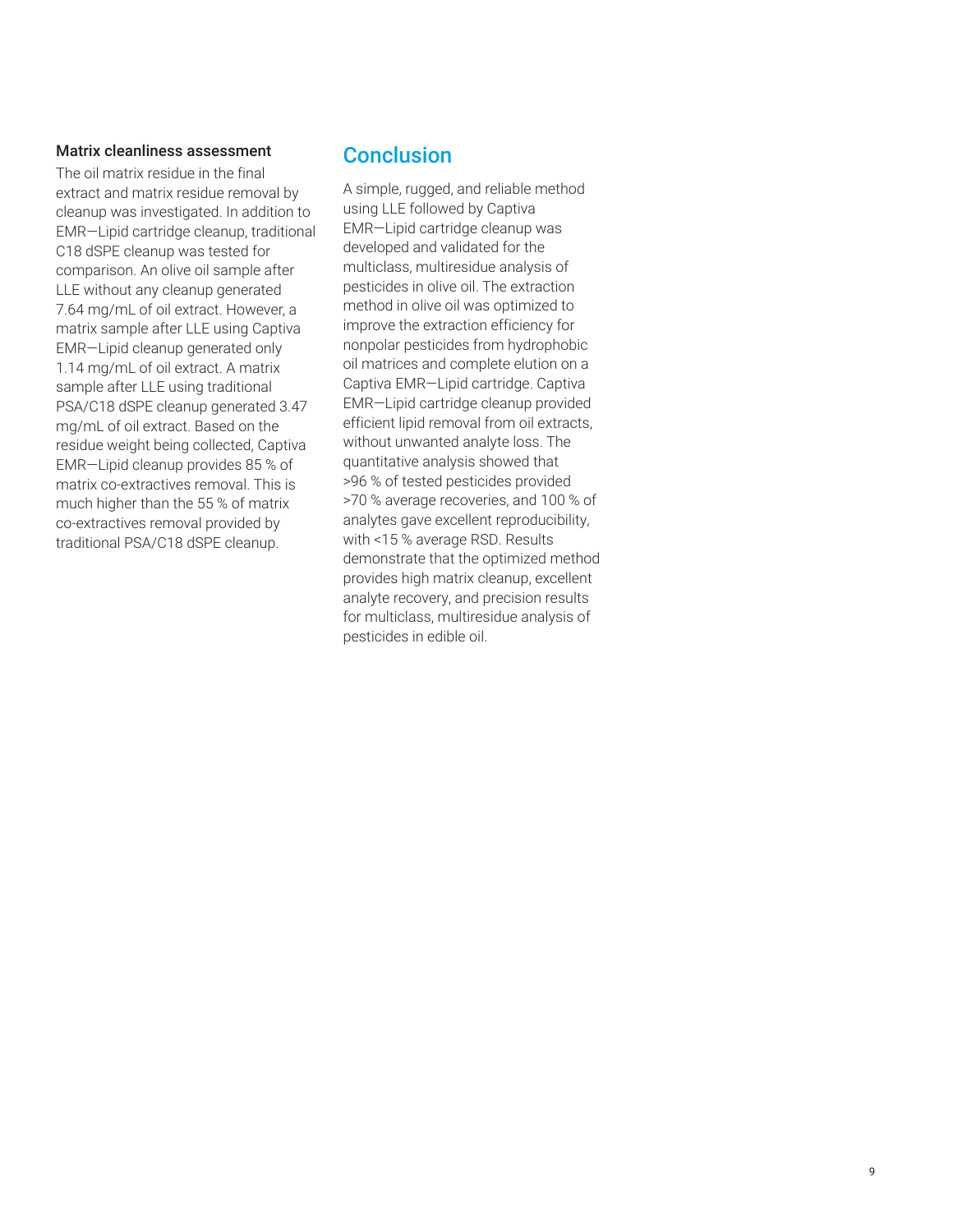#### Matrix cleanliness assessment

The oil matrix residue in the final extract and matrix residue removal by cleanup was investigated. In addition to EMR—Lipid cartridge cleanup, traditional C18 dSPE cleanup was tested for comparison. An olive oil sample after LLE without any cleanup generated 7.64 mg/mL of oil extract. However, a matrix sample after LLE using Captiva EMR—Lipid cleanup generated only 1.14 mg/mL of oil extract. A matrix sample after LLE using traditional PSA/C18 dSPE cleanup generated 3.47 mg/mL of oil extract. Based on the residue weight being collected, Captiva EMR—Lipid cleanup provides 85 % of matrix co-extractives removal. This is much higher than the 55 % of matrix co-extractives removal provided by traditional PSA/C18 dSPE cleanup.

### **Conclusion**

A simple, rugged, and reliable method using LLE followed by Captiva EMR—Lipid cartridge cleanup was developed and validated for the multiclass, multiresidue analysis of pesticides in olive oil. The extraction method in olive oil was optimized to improve the extraction efficiency for nonpolar pesticides from hydrophobic oil matrices and complete elution on a Captiva EMR—Lipid cartridge. Captiva EMR—Lipid cartridge cleanup provided efficient lipid removal from oil extracts, without unwanted analyte loss. The quantitative analysis showed that >96 % of tested pesticides provided >70 % average recoveries, and 100 % of analytes gave excellent reproducibility, with <15 % average RSD. Results demonstrate that the optimized method provides high matrix cleanup, excellent analyte recovery, and precision results for multiclass, multiresidue analysis of pesticides in edible oil.